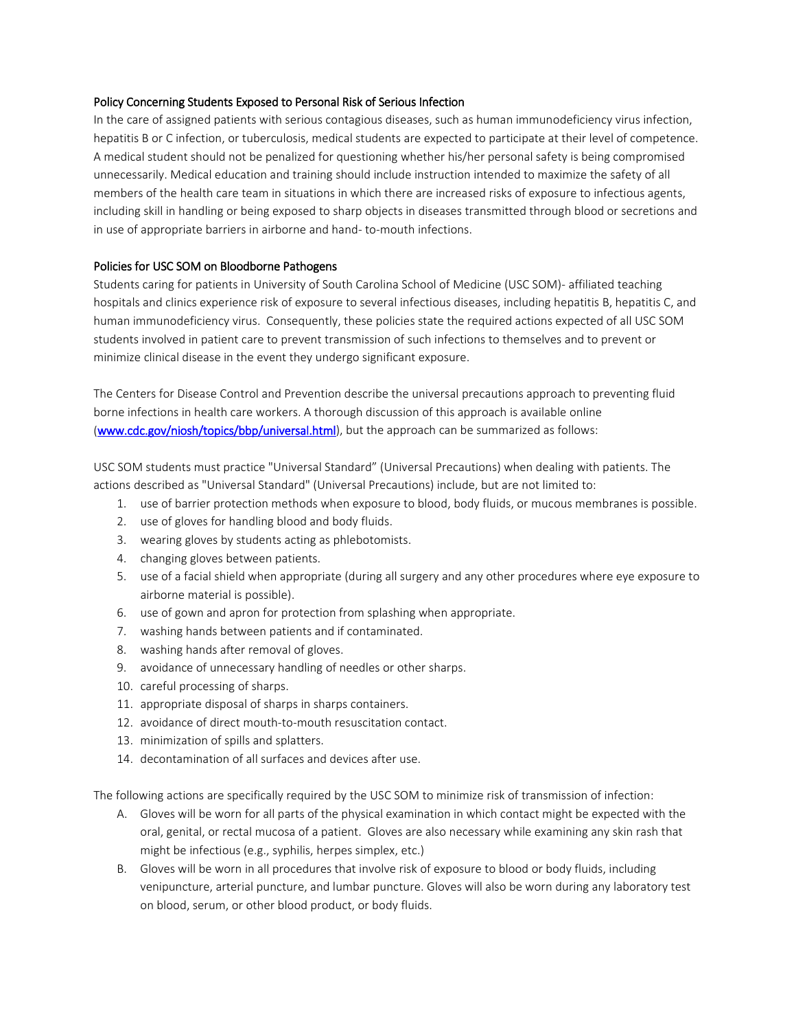## Policy Concerning Students Exposed to Personal Risk of Serious Infection

In the care of assigned patients with serious contagious diseases, such as human immunodeficiency virus infection, hepatitis B or C infection, or tuberculosis, medical students are expected to participate at their level of competence. A medical student should not be penalized for questioning whether his/her personal safety is being compromised unnecessarily. Medical education and training should include instruction intended to maximize the safety of all members of the health care team in situations in which there are increased risks of exposure to infectious agents, including skill in handling or being exposed to sharp objects in diseases transmitted through blood or secretions and in use of appropriate barriers in airborne and hand- to-mouth infections.

## Policies for USC SOM on Bloodborne Pathogens

Students caring for patients in University of South Carolina School of Medicine (USC SOM)- affiliated teaching hospitals and clinics experience risk of exposure to several infectious diseases, including hepatitis B, hepatitis C, and human immunodeficiency virus. Consequently, these policies state the required actions expected of all USC SOM students involved in patient care to prevent transmission of such infections to themselves and to prevent or minimize clinical disease in the event they undergo significant exposure.

The Centers for Disease Control and Prevention describe the universal precautions approach to preventing fluid borne infections in health care workers. A thorough discussion of this approach is available online [\(www.cdc.gov/niosh/topics/bbp/universal.html\)](http://www.cdc.gov/niosh/topics/bbp/universal.html), but the approach can be summarized as follows:

USC SOM students must practice "Universal Standard" (Universal Precautions) when dealing with patients. The actions described as "Universal Standard" (Universal Precautions) include, but are not limited to:

- 1. use of barrier protection methods when exposure to blood, body fluids, or mucous membranes is possible.
- 2. use of gloves for handling blood and body fluids.
- 3. wearing gloves by students acting as phlebotomists.
- 4. changing gloves between patients.
- 5. use of a facial shield when appropriate (during all surgery and any other procedures where eye exposure to airborne material is possible).
- 6. use of gown and apron for protection from splashing when appropriate.
- 7. washing hands between patients and if contaminated.
- 8. washing hands after removal of gloves.
- 9. avoidance of unnecessary handling of needles or other sharps.
- 10. careful processing of sharps.
- 11. appropriate disposal of sharps in sharps containers.
- 12. avoidance of direct mouth-to-mouth resuscitation contact.
- 13. minimization of spills and splatters.
- 14. decontamination of all surfaces and devices after use.

The following actions are specifically required by the USC SOM to minimize risk of transmission of infection:

- A. Gloves will be worn for all parts of the physical examination in which contact might be expected with the oral, genital, or rectal mucosa of a patient. Gloves are also necessary while examining any skin rash that might be infectious (e.g., syphilis, herpes simplex, etc.)
- B. Gloves will be worn in all procedures that involve risk of exposure to blood or body fluids, including venipuncture, arterial puncture, and lumbar puncture. Gloves will also be worn during any laboratory test on blood, serum, or other blood product, or body fluids.